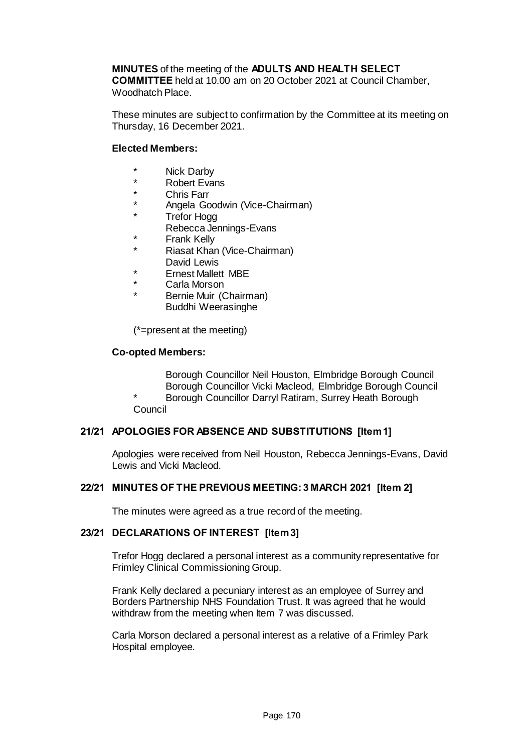# **MINUTES** of the meeting of the **ADULTS AND HEALTH SELECT COMMITTEE** held at 10.00 am on 20 October 2021 at Council Chamber,

Woodhatch Place.

These minutes are subject to confirmation by the Committee at its meeting on Thursday, 16 December 2021.

# **Elected Members:**

- \* Nick Darby
- \* Robert Evans
- \* Chris Farr
- Angela Goodwin (Vice-Chairman)
- **Trefor Hogg** Rebecca Jennings-Evans
- \* Frank Kelly
- **Riasat Khan (Vice-Chairman)**
- David Lewis
- **Ernest Mallett MBE**
- Carla Morson
- Bernie Muir (Chairman) Buddhi Weerasinghe

(\*=present at the meeting)

# **Co-opted Members:**

Borough Councillor Neil Houston, Elmbridge Borough Council Borough Councillor Vicki Macleod, Elmbridge Borough Council

Borough Councillor Darryl Ratiram, Surrey Heath Borough **Council** 

# **21/21 APOLOGIES FOR ABSENCE AND SUBSTITUTIONS [Item 1]**

Apologies were received from Neil Houston, Rebecca Jennings-Evans, David Lewis and Vicki Macleod.

# **22/21 MINUTES OF THE PREVIOUS MEETING: 3 MARCH 2021 [Item 2]**

The minutes were agreed as a true record of the meeting.

# **23/21 DECLARATIONS OF INTEREST [Item 3]**

Trefor Hogg declared a personal interest as a community representative for Frimley Clinical Commissioning Group.

Frank Kelly declared a pecuniary interest as an employee of Surrey and Borders Partnership NHS Foundation Trust. It was agreed that he would withdraw from the meeting when Item 7 was discussed.

Carla Morson declared a personal interest as a relative of a Frimley Park Hospital employee.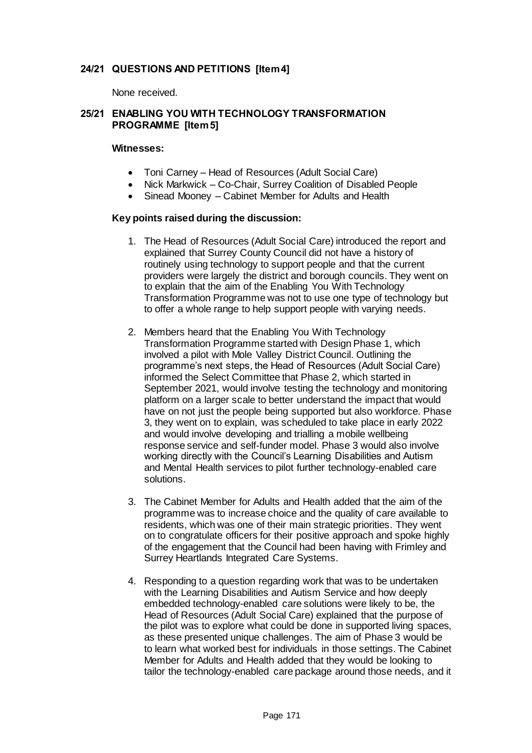# **24/21 QUESTIONS AND PETITIONS [Item 4]**

None received.

# **25/21 ENABLING YOU WITH TECHNOLOGY TRANSFORMATION PROGRAMME [Item 5]**

#### **Witnesses:**

- Toni Carney Head of Resources (Adult Social Care)
- Nick Markwick Co-Chair, Surrey Coalition of Disabled People
- Sinead Mooney Cabinet Member for Adults and Health

#### **Key points raised during the discussion:**

- 1. The Head of Resources (Adult Social Care) introduced the report and explained that Surrey County Council did not have a history of routinely using technology to support people and that the current providers were largely the district and borough councils. They went on to explain that the aim of the Enabling You With Technology Transformation Programme was not to use one type of technology but to offer a whole range to help support people with varying needs.
- 2. Members heard that the Enabling You With Technology Transformation Programme started with Design Phase 1, which involved a pilot with Mole Valley District Council. Outlining the programme's next steps, the Head of Resources (Adult Social Care) informed the Select Committee that Phase 2, which started in September 2021, would involve testing the technology and monitoring platform on a larger scale to better understand the impact that would have on not just the people being supported but also workforce. Phase 3, they went on to explain, was scheduled to take place in early 2022 and would involve developing and trialling a mobile wellbeing response service and self-funder model. Phase 3 would also involve working directly with the Council's Learning Disabilities and Autism and Mental Health services to pilot further technology-enabled care solutions.
- 3. The Cabinet Member for Adults and Health added that the aim of the programme was to increase choice and the quality of care available to residents, which was one of their main strategic priorities. They went on to congratulate officers for their positive approach and spoke highly of the engagement that the Council had been having with Frimley and Surrey Heartlands Integrated Care Systems.
- 4. Responding to a question regarding work that was to be undertaken with the Learning Disabilities and Autism Service and how deeply embedded technology-enabled care solutions were likely to be, the Head of Resources (Adult Social Care) explained that the purpose of the pilot was to explore what could be done in supported living spaces, as these presented unique challenges. The aim of Phase 3 would be to learn what worked best for individuals in those settings. The Cabinet Member for Adults and Health added that they would be looking to tailor the technology-enabled care package around those needs, and it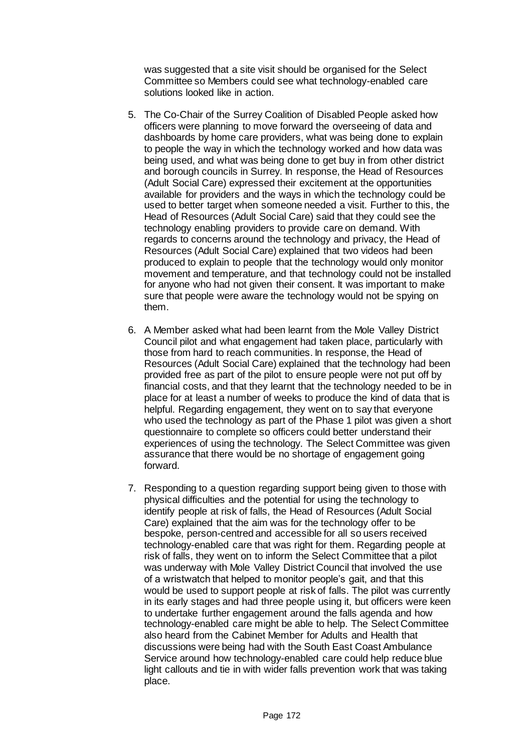was suggested that a site visit should be organised for the Select Committee so Members could see what technology-enabled care solutions looked like in action.

- 5. The Co-Chair of the Surrey Coalition of Disabled People asked how officers were planning to move forward the overseeing of data and dashboards by home care providers, what was being done to explain to people the way in which the technology worked and how data was being used, and what was being done to get buy in from other district and borough councils in Surrey. In response, the Head of Resources (Adult Social Care) expressed their excitement at the opportunities available for providers and the ways in which the technology could be used to better target when someone needed a visit. Further to this, the Head of Resources (Adult Social Care) said that they could see the technology enabling providers to provide care on demand. With regards to concerns around the technology and privacy, the Head of Resources (Adult Social Care) explained that two videos had been produced to explain to people that the technology would only monitor movement and temperature, and that technology could not be installed for anyone who had not given their consent. It was important to make sure that people were aware the technology would not be spying on them.
- 6. A Member asked what had been learnt from the Mole Valley District Council pilot and what engagement had taken place, particularly with those from hard to reach communities. In response, the Head of Resources (Adult Social Care) explained that the technology had been provided free as part of the pilot to ensure people were not put off by financial costs, and that they learnt that the technology needed to be in place for at least a number of weeks to produce the kind of data that is helpful. Regarding engagement, they went on to say that everyone who used the technology as part of the Phase 1 pilot was given a short questionnaire to complete so officers could better understand their experiences of using the technology. The Select Committee was given assurance that there would be no shortage of engagement going forward.
- 7. Responding to a question regarding support being given to those with physical difficulties and the potential for using the technology to identify people at risk of falls, the Head of Resources (Adult Social Care) explained that the aim was for the technology offer to be bespoke, person-centred and accessible for all so users received technology-enabled care that was right for them. Regarding people at risk of falls, they went on to inform the Select Committee that a pilot was underway with Mole Valley District Council that involved the use of a wristwatch that helped to monitor people's gait, and that this would be used to support people at risk of falls. The pilot was currently in its early stages and had three people using it, but officers were keen to undertake further engagement around the falls agenda and how technology-enabled care might be able to help. The Select Committee also heard from the Cabinet Member for Adults and Health that discussions were being had with the South East Coast Ambulance Service around how technology-enabled care could help reduce blue light callouts and tie in with wider falls prevention work that was taking place.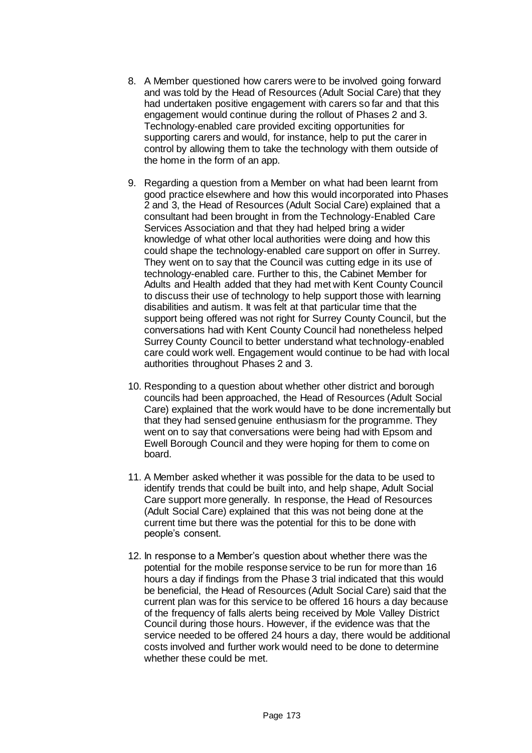- 8. A Member questioned how carers were to be involved going forward and was told by the Head of Resources (Adult Social Care) that they had undertaken positive engagement with carers so far and that this engagement would continue during the rollout of Phases 2 and 3. Technology-enabled care provided exciting opportunities for supporting carers and would, for instance, help to put the carer in control by allowing them to take the technology with them outside of the home in the form of an app.
- 9. Regarding a question from a Member on what had been learnt from good practice elsewhere and how this would incorporated into Phases 2 and 3, the Head of Resources (Adult Social Care) explained that a consultant had been brought in from the Technology-Enabled Care Services Association and that they had helped bring a wider knowledge of what other local authorities were doing and how this could shape the technology-enabled care support on offer in Surrey. They went on to say that the Council was cutting edge in its use of technology-enabled care. Further to this, the Cabinet Member for Adults and Health added that they had met with Kent County Council to discuss their use of technology to help support those with learning disabilities and autism. It was felt at that particular time that the support being offered was not right for Surrey County Council, but the conversations had with Kent County Council had nonetheless helped Surrey County Council to better understand what technology-enabled care could work well. Engagement would continue to be had with local authorities throughout Phases 2 and 3.
- 10. Responding to a question about whether other district and borough councils had been approached, the Head of Resources (Adult Social Care) explained that the work would have to be done incrementally but that they had sensed genuine enthusiasm for the programme. They went on to say that conversations were being had with Epsom and Ewell Borough Council and they were hoping for them to come on board.
- 11. A Member asked whether it was possible for the data to be used to identify trends that could be built into, and help shape, Adult Social Care support more generally. In response, the Head of Resources (Adult Social Care) explained that this was not being done at the current time but there was the potential for this to be done with people's consent.
- 12. In response to a Member's question about whether there was the potential for the mobile response service to be run for more than 16 hours a day if findings from the Phase 3 trial indicated that this would be beneficial, the Head of Resources (Adult Social Care) said that the current plan was for this service to be offered 16 hours a day because of the frequency of falls alerts being received by Mole Valley District Council during those hours. However, if the evidence was that the service needed to be offered 24 hours a day, there would be additional costs involved and further work would need to be done to determine whether these could be met.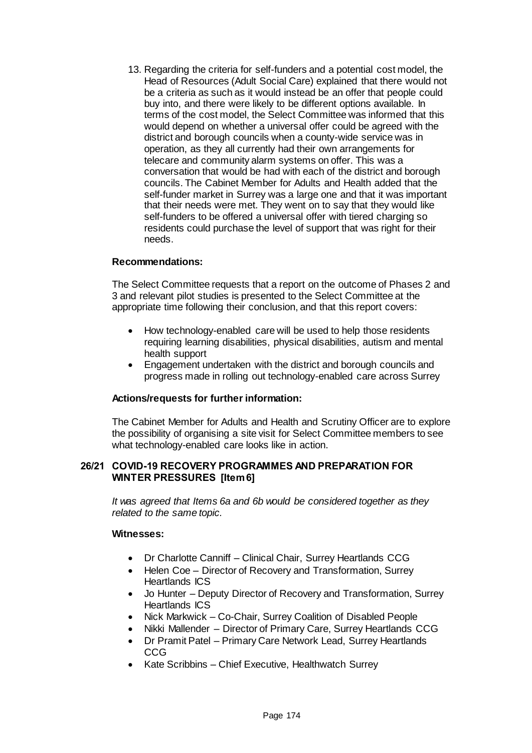13. Regarding the criteria for self-funders and a potential cost model, the Head of Resources (Adult Social Care) explained that there would not be a criteria as such as it would instead be an offer that people could buy into, and there were likely to be different options available. In terms of the cost model, the Select Committee was informed that this would depend on whether a universal offer could be agreed with the district and borough councils when a county-wide service was in operation, as they all currently had their own arrangements for telecare and community alarm systems on offer. This was a conversation that would be had with each of the district and borough councils. The Cabinet Member for Adults and Health added that the self-funder market in Surrey was a large one and that it was important that their needs were met. They went on to say that they would like self-funders to be offered a universal offer with tiered charging so residents could purchase the level of support that was right for their needs.

# **Recommendations:**

The Select Committee requests that a report on the outcome of Phases 2 and 3 and relevant pilot studies is presented to the Select Committee at the appropriate time following their conclusion, and that this report covers:

- How technology-enabled care will be used to help those residents requiring learning disabilities, physical disabilities, autism and mental health support
- Engagement undertaken with the district and borough councils and progress made in rolling out technology-enabled care across Surrey

# **Actions/requests for further information:**

The Cabinet Member for Adults and Health and Scrutiny Officer are to explore the possibility of organising a site visit for Select Committee members to see what technology-enabled care looks like in action.

#### **26/21 COVID-19 RECOVERY PROGRAMMES AND PREPARATION FOR WINTER PRESSURES [Item 6]**

*It was agreed that Items 6a and 6b would be considered together as they related to the same topic.*

#### **Witnesses:**

- Dr Charlotte Canniff Clinical Chair, Surrey Heartlands CCG
- Helen Coe Director of Recovery and Transformation, Surrey Heartlands ICS
- Jo Hunter Deputy Director of Recovery and Transformation, Surrey Heartlands ICS
- Nick Markwick Co-Chair, Surrey Coalition of Disabled People
- Nikki Mallender Director of Primary Care, Surrey Heartlands CCG
- Dr Pramit Patel Primary Care Network Lead, Surrey Heartlands CCG
- Kate Scribbins Chief Executive, Healthwatch Surrey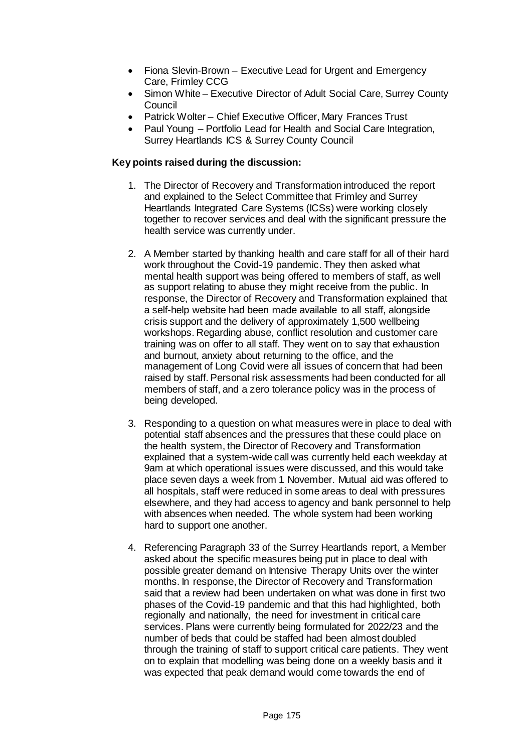- Fiona Slevin-Brown Executive Lead for Urgent and Emergency Care, Frimley CCG
- Simon White Executive Director of Adult Social Care, Surrey County Council
- Patrick Wolter Chief Executive Officer, Mary Frances Trust
- Paul Young Portfolio Lead for Health and Social Care Integration, Surrey Heartlands ICS & Surrey County Council

# **Key points raised during the discussion:**

- 1. The Director of Recovery and Transformation introduced the report and explained to the Select Committee that Frimley and Surrey Heartlands Integrated Care Systems (ICSs) were working closely together to recover services and deal with the significant pressure the health service was currently under.
- 2. A Member started by thanking health and care staff for all of their hard work throughout the Covid-19 pandemic. They then asked what mental health support was being offered to members of staff, as well as support relating to abuse they might receive from the public. In response, the Director of Recovery and Transformation explained that a self-help website had been made available to all staff, alongside crisis support and the delivery of approximately 1,500 wellbeing workshops. Regarding abuse, conflict resolution and customer care training was on offer to all staff. They went on to say that exhaustion and burnout, anxiety about returning to the office, and the management of Long Covid were all issues of concern that had been raised by staff. Personal risk assessments had been conducted for all members of staff, and a zero tolerance policy was in the process of being developed.
- 3. Responding to a question on what measures were in place to deal with potential staff absences and the pressures that these could place on the health system, the Director of Recovery and Transformation explained that a system-wide call was currently held each weekday at 9am at which operational issues were discussed, and this would take place seven days a week from 1 November. Mutual aid was offered to all hospitals, staff were reduced in some areas to deal with pressures elsewhere, and they had access to agency and bank personnel to help with absences when needed. The whole system had been working hard to support one another.
- 4. Referencing Paragraph 33 of the Surrey Heartlands report, a Member asked about the specific measures being put in place to deal with possible greater demand on Intensive Therapy Units over the winter months. In response, the Director of Recovery and Transformation said that a review had been undertaken on what was done in first two phases of the Covid-19 pandemic and that this had highlighted, both regionally and nationally, the need for investment in critical care services. Plans were currently being formulated for 2022/23 and the number of beds that could be staffed had been almost doubled through the training of staff to support critical care patients. They went on to explain that modelling was being done on a weekly basis and it was expected that peak demand would come towards the end of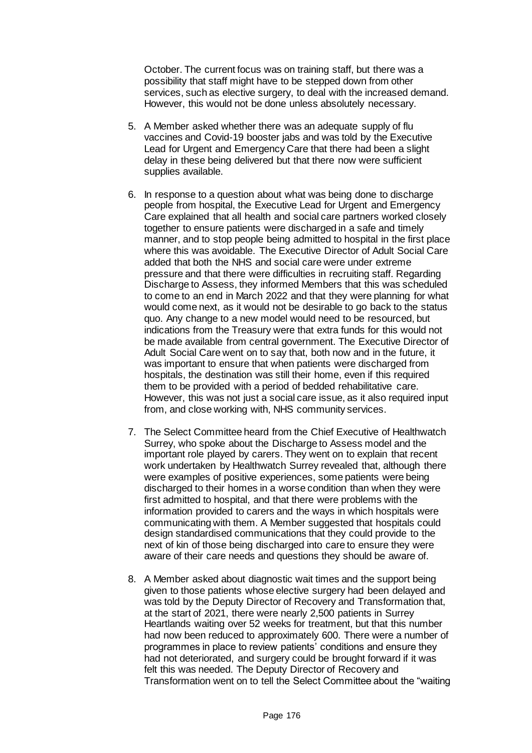October. The current focus was on training staff, but there was a possibility that staff might have to be stepped down from other services, such as elective surgery, to deal with the increased demand. However, this would not be done unless absolutely necessary.

- 5. A Member asked whether there was an adequate supply of flu vaccines and Covid-19 booster jabs and was told by the Executive Lead for Urgent and Emergency Care that there had been a slight delay in these being delivered but that there now were sufficient supplies available.
- 6. In response to a question about what was being done to discharge people from hospital, the Executive Lead for Urgent and Emergency Care explained that all health and social care partners worked closely together to ensure patients were discharged in a safe and timely manner, and to stop people being admitted to hospital in the first place where this was avoidable. The Executive Director of Adult Social Care added that both the NHS and social care were under extreme pressure and that there were difficulties in recruiting staff. Regarding Discharge to Assess, they informed Members that this was scheduled to come to an end in March 2022 and that they were planning for what would come next, as it would not be desirable to go back to the status quo. Any change to a new model would need to be resourced, but indications from the Treasury were that extra funds for this would not be made available from central government. The Executive Director of Adult Social Care went on to say that, both now and in the future, it was important to ensure that when patients were discharged from hospitals, the destination was still their home, even if this required them to be provided with a period of bedded rehabilitative care. However, this was not just a social care issue, as it also required input from, and close working with, NHS community services.
- 7. The Select Committee heard from the Chief Executive of Healthwatch Surrey, who spoke about the Discharge to Assess model and the important role played by carers. They went on to explain that recent work undertaken by Healthwatch Surrey revealed that, although there were examples of positive experiences, some patients were being discharged to their homes in a worse condition than when they were first admitted to hospital, and that there were problems with the information provided to carers and the ways in which hospitals were communicating with them. A Member suggested that hospitals could design standardised communications that they could provide to the next of kin of those being discharged into care to ensure they were aware of their care needs and questions they should be aware of.
- 8. A Member asked about diagnostic wait times and the support being given to those patients whose elective surgery had been delayed and was told by the Deputy Director of Recovery and Transformation that, at the start of 2021, there were nearly 2,500 patients in Surrey Heartlands waiting over 52 weeks for treatment, but that this number had now been reduced to approximately 600. There were a number of programmes in place to review patients' conditions and ensure they had not deteriorated, and surgery could be brought forward if it was felt this was needed. The Deputy Director of Recovery and Transformation went on to tell the Select Committee about the "waiting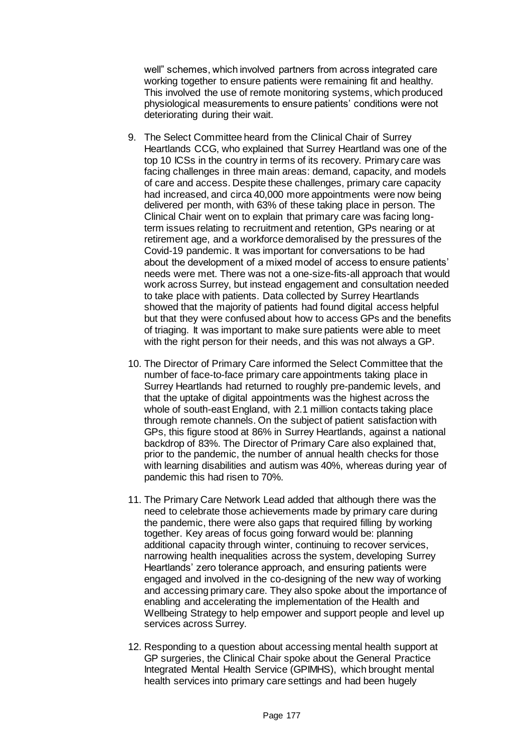well" schemes, which involved partners from across integrated care working together to ensure patients were remaining fit and healthy. This involved the use of remote monitoring systems, which produced physiological measurements to ensure patients' conditions were not deteriorating during their wait.

- 9. The Select Committee heard from the Clinical Chair of Surrey Heartlands CCG, who explained that Surrey Heartland was one of the top 10 ICSs in the country in terms of its recovery. Primary care was facing challenges in three main areas: demand, capacity, and models of care and access. Despite these challenges, primary care capacity had increased, and circa 40,000 more appointments were now being delivered per month, with 63% of these taking place in person. The Clinical Chair went on to explain that primary care was facing longterm issues relating to recruitment and retention, GPs nearing or at retirement age, and a workforce demoralised by the pressures of the Covid-19 pandemic. It was important for conversations to be had about the development of a mixed model of access to ensure patients' needs were met. There was not a one-size-fits-all approach that would work across Surrey, but instead engagement and consultation needed to take place with patients. Data collected by Surrey Heartlands showed that the majority of patients had found digital access helpful but that they were confused about how to access GPs and the benefits of triaging. It was important to make sure patients were able to meet with the right person for their needs, and this was not always a GP.
- 10. The Director of Primary Care informed the Select Committee that the number of face-to-face primary care appointments taking place in Surrey Heartlands had returned to roughly pre-pandemic levels, and that the uptake of digital appointments was the highest across the whole of south-east England, with 2.1 million contacts taking place through remote channels. On the subject of patient satisfaction with GPs, this figure stood at 86% in Surrey Heartlands, against a national backdrop of 83%. The Director of Primary Care also explained that, prior to the pandemic, the number of annual health checks for those with learning disabilities and autism was 40%, whereas during year of pandemic this had risen to 70%.
- 11. The Primary Care Network Lead added that although there was the need to celebrate those achievements made by primary care during the pandemic, there were also gaps that required filling by working together. Key areas of focus going forward would be: planning additional capacity through winter, continuing to recover services, narrowing health inequalities across the system, developing Surrey Heartlands' zero tolerance approach, and ensuring patients were engaged and involved in the co-designing of the new way of working and accessing primary care. They also spoke about the importance of enabling and accelerating the implementation of the Health and Wellbeing Strategy to help empower and support people and level up services across Surrey.
- 12. Responding to a question about accessing mental health support at GP surgeries, the Clinical Chair spoke about the General Practice Integrated Mental Health Service (GPIMHS), which brought mental health services into primary care settings and had been hugely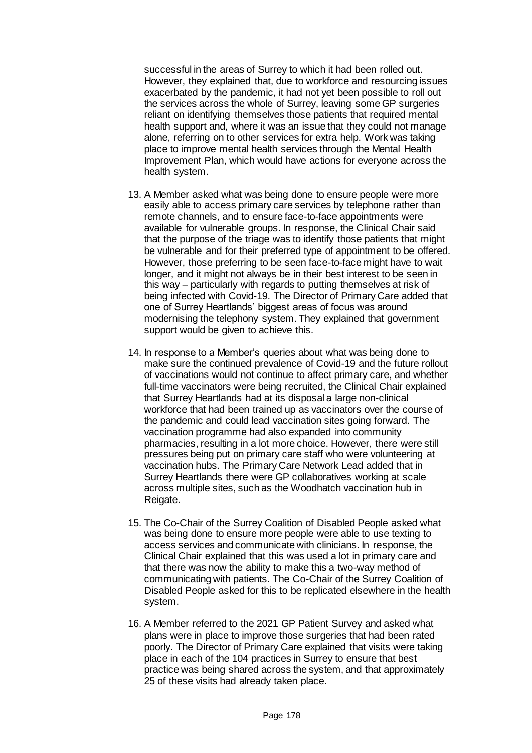successful in the areas of Surrey to which it had been rolled out. However, they explained that, due to workforce and resourcing issues exacerbated by the pandemic, it had not yet been possible to roll out the services across the whole of Surrey, leaving some GP surgeries reliant on identifying themselves those patients that required mental health support and, where it was an issue that they could not manage alone, referring on to other services for extra help. Work was taking place to improve mental health services through the Mental Health Improvement Plan, which would have actions for everyone across the health system.

- 13. A Member asked what was being done to ensure people were more easily able to access primary care services by telephone rather than remote channels, and to ensure face-to-face appointments were available for vulnerable groups. In response, the Clinical Chair said that the purpose of the triage was to identify those patients that might be vulnerable and for their preferred type of appointment to be offered. However, those preferring to be seen face-to-face might have to wait longer, and it might not always be in their best interest to be seen in this way – particularly with regards to putting themselves at risk of being infected with Covid-19. The Director of Primary Care added that one of Surrey Heartlands' biggest areas of focus was around modernising the telephony system. They explained that government support would be given to achieve this.
- 14. In response to a Member's queries about what was being done to make sure the continued prevalence of Covid-19 and the future rollout of vaccinations would not continue to affect primary care, and whether full-time vaccinators were being recruited, the Clinical Chair explained that Surrey Heartlands had at its disposal a large non-clinical workforce that had been trained up as vaccinators over the course of the pandemic and could lead vaccination sites going forward. The vaccination programme had also expanded into community pharmacies, resulting in a lot more choice. However, there were still pressures being put on primary care staff who were volunteering at vaccination hubs. The Primary Care Network Lead added that in Surrey Heartlands there were GP collaboratives working at scale across multiple sites, such as the Woodhatch vaccination hub in Reigate.
- 15. The Co-Chair of the Surrey Coalition of Disabled People asked what was being done to ensure more people were able to use texting to access services and communicate with clinicians. In response, the Clinical Chair explained that this was used a lot in primary care and that there was now the ability to make this a two-way method of communicating with patients. The Co-Chair of the Surrey Coalition of Disabled People asked for this to be replicated elsewhere in the health system.
- 16. A Member referred to the 2021 GP Patient Survey and asked what plans were in place to improve those surgeries that had been rated poorly. The Director of Primary Care explained that visits were taking place in each of the 104 practices in Surrey to ensure that best practice was being shared across the system, and that approximately 25 of these visits had already taken place.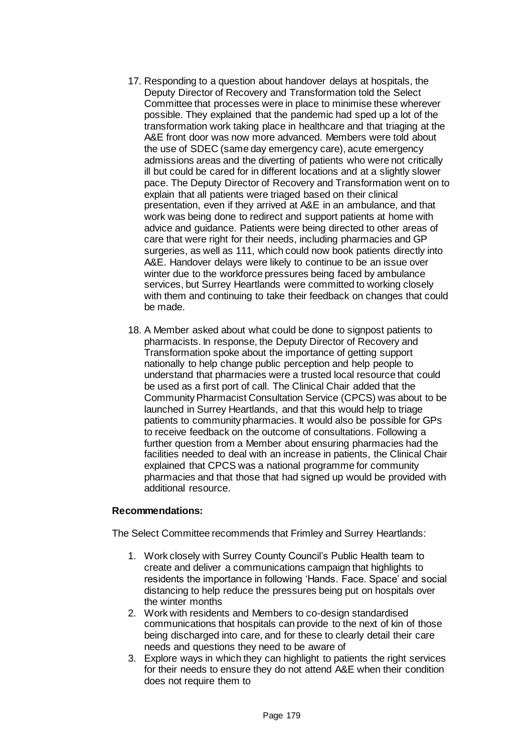- 17. Responding to a question about handover delays at hospitals, the Deputy Director of Recovery and Transformation told the Select Committee that processes were in place to minimise these wherever possible. They explained that the pandemic had sped up a lot of the transformation work taking place in healthcare and that triaging at the A&E front door was now more advanced. Members were told about the use of SDEC (same day emergency care), acute emergency admissions areas and the diverting of patients who were not critically ill but could be cared for in different locations and at a slightly slower pace. The Deputy Director of Recovery and Transformation went on to explain that all patients were triaged based on their clinical presentation, even if they arrived at A&E in an ambulance, and that work was being done to redirect and support patients at home with advice and guidance. Patients were being directed to other areas of care that were right for their needs, including pharmacies and GP surgeries, as well as 111, which could now book patients directly into A&E. Handover delays were likely to continue to be an issue over winter due to the workforce pressures being faced by ambulance services, but Surrey Heartlands were committed to working closely with them and continuing to take their feedback on changes that could be made.
- 18. A Member asked about what could be done to signpost patients to pharmacists. In response, the Deputy Director of Recovery and Transformation spoke about the importance of getting support nationally to help change public perception and help people to understand that pharmacies were a trusted local resource that could be used as a first port of call. The Clinical Chair added that the Community Pharmacist Consultation Service (CPCS) was about to be launched in Surrey Heartlands, and that this would help to triage patients to community pharmacies. It would also be possible for GPs to receive feedback on the outcome of consultations. Following a further question from a Member about ensuring pharmacies had the facilities needed to deal with an increase in patients, the Clinical Chair explained that CPCS was a national programme for community pharmacies and that those that had signed up would be provided with additional resource.

# **Recommendations:**

The Select Committee recommends that Frimley and Surrey Heartlands:

- 1. Work closely with Surrey County Council's Public Health team to create and deliver a communications campaign that highlights to residents the importance in following 'Hands. Face. Space' and social distancing to help reduce the pressures being put on hospitals over the winter months
- 2. Work with residents and Members to co-design standardised communications that hospitals can provide to the next of kin of those being discharged into care, and for these to clearly detail their care needs and questions they need to be aware of
- 3. Explore ways in which they can highlight to patients the right services for their needs to ensure they do not attend A&E when their condition does not require them to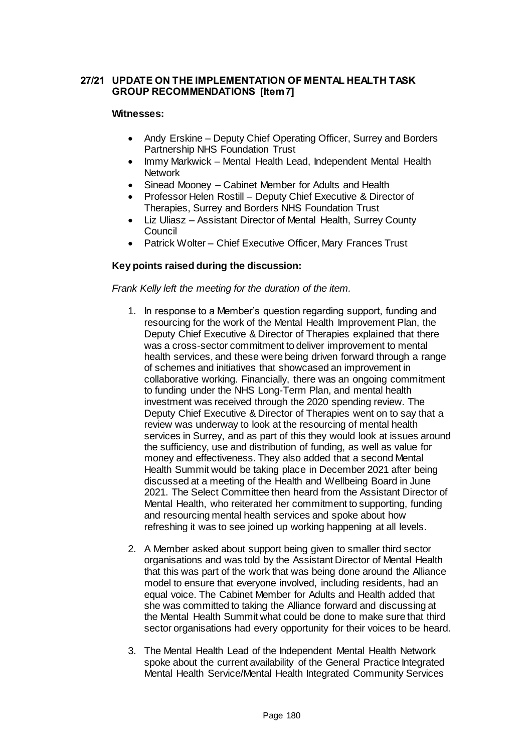# **27/21 UPDATE ON THE IMPLEMENTATION OF MENTAL HEALTH TASK GROUP RECOMMENDATIONS [Item 7]**

#### **Witnesses:**

- Andy Erskine Deputy Chief Operating Officer, Surrey and Borders Partnership NHS Foundation Trust
- Immy Markwick Mental Health Lead, Independent Mental Health **Network**
- Sinead Mooney Cabinet Member for Adults and Health
- Professor Helen Rostill Deputy Chief Executive & Director of Therapies, Surrey and Borders NHS Foundation Trust
- Liz Uliasz Assistant Director of Mental Health, Surrey County Council
- Patrick Wolter Chief Executive Officer, Mary Frances Trust

# **Key points raised during the discussion:**

#### *Frank Kelly left the meeting for the duration of the item.*

- 1. In response to a Member's question regarding support, funding and resourcing for the work of the Mental Health Improvement Plan, the Deputy Chief Executive & Director of Therapies explained that there was a cross-sector commitment to deliver improvement to mental health services, and these were being driven forward through a range of schemes and initiatives that showcased an improvement in collaborative working. Financially, there was an ongoing commitment to funding under the NHS Long-Term Plan, and mental health investment was received through the 2020 spending review. The Deputy Chief Executive & Director of Therapies went on to say that a review was underway to look at the resourcing of mental health services in Surrey, and as part of this they would look at issues around the sufficiency, use and distribution of funding, as well as value for money and effectiveness. They also added that a second Mental Health Summit would be taking place in December 2021 after being discussed at a meeting of the Health and Wellbeing Board in June 2021. The Select Committee then heard from the Assistant Director of Mental Health, who reiterated her commitment to supporting, funding and resourcing mental health services and spoke about how refreshing it was to see joined up working happening at all levels.
- 2. A Member asked about support being given to smaller third sector organisations and was told by the Assistant Director of Mental Health that this was part of the work that was being done around the Alliance model to ensure that everyone involved, including residents, had an equal voice. The Cabinet Member for Adults and Health added that she was committed to taking the Alliance forward and discussing at the Mental Health Summit what could be done to make sure that third sector organisations had every opportunity for their voices to be heard.
- 3. The Mental Health Lead of the Independent Mental Health Network spoke about the current availability of the General Practice Integrated Mental Health Service/Mental Health Integrated Community Services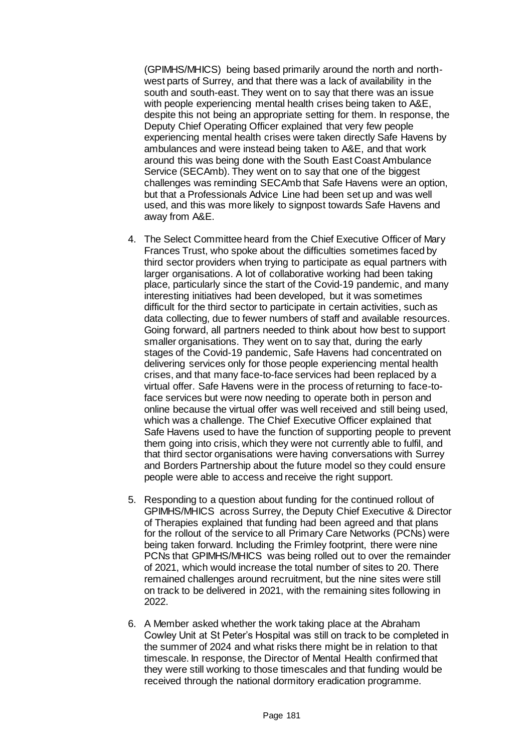(GPIMHS/MHICS) being based primarily around the north and northwest parts of Surrey, and that there was a lack of availability in the south and south-east. They went on to say that there was an issue with people experiencing mental health crises being taken to A&E, despite this not being an appropriate setting for them. In response, the Deputy Chief Operating Officer explained that very few people experiencing mental health crises were taken directly Safe Havens by ambulances and were instead being taken to A&E, and that work around this was being done with the South East Coast Ambulance Service (SECAmb). They went on to say that one of the biggest challenges was reminding SECAmb that Safe Havens were an option, but that a Professionals Advice Line had been set up and was well used, and this was more likely to signpost towards Safe Havens and away from A&E.

- 4. The Select Committee heard from the Chief Executive Officer of Mary Frances Trust, who spoke about the difficulties sometimes faced by third sector providers when trying to participate as equal partners with larger organisations. A lot of collaborative working had been taking place, particularly since the start of the Covid-19 pandemic, and many interesting initiatives had been developed, but it was sometimes difficult for the third sector to participate in certain activities, such as data collecting, due to fewer numbers of staff and available resources. Going forward, all partners needed to think about how best to support smaller organisations. They went on to say that, during the early stages of the Covid-19 pandemic, Safe Havens had concentrated on delivering services only for those people experiencing mental health crises, and that many face-to-face services had been replaced by a virtual offer. Safe Havens were in the process of returning to face-toface services but were now needing to operate both in person and online because the virtual offer was well received and still being used, which was a challenge. The Chief Executive Officer explained that Safe Havens used to have the function of supporting people to prevent them going into crisis, which they were not currently able to fulfil, and that third sector organisations were having conversations with Surrey and Borders Partnership about the future model so they could ensure people were able to access and receive the right support.
- 5. Responding to a question about funding for the continued rollout of GPIMHS/MHICS across Surrey, the Deputy Chief Executive & Director of Therapies explained that funding had been agreed and that plans for the rollout of the service to all Primary Care Networks (PCNs) were being taken forward. Including the Frimley footprint, there were nine PCNs that GPIMHS/MHICS was being rolled out to over the remainder of 2021, which would increase the total number of sites to 20. There remained challenges around recruitment, but the nine sites were still on track to be delivered in 2021, with the remaining sites following in 2022.
- 6. A Member asked whether the work taking place at the Abraham Cowley Unit at St Peter's Hospital was still on track to be completed in the summer of 2024 and what risks there might be in relation to that timescale. In response, the Director of Mental Health confirmed that they were still working to those timescales and that funding would be received through the national dormitory eradication programme.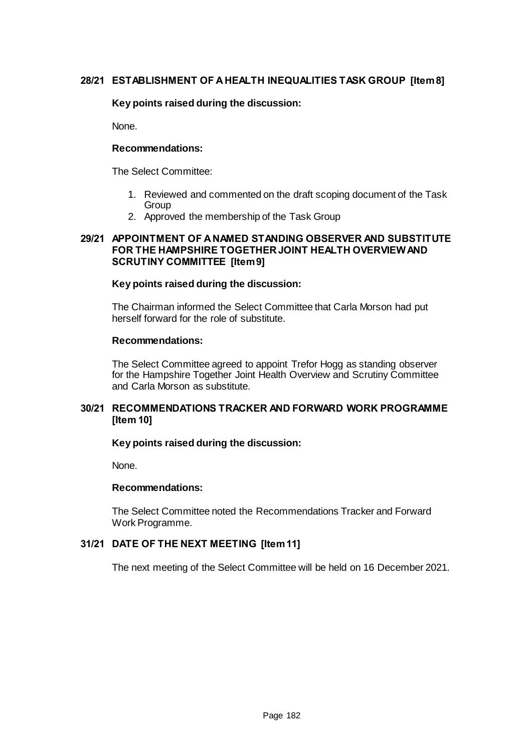# **28/21 ESTABLISHMENT OF A HEALTH INEQUALITIES TASK GROUP [Item 8]**

# **Key points raised during the discussion:**

None.

#### **Recommendations:**

The Select Committee:

- 1. Reviewed and commented on the draft scoping document of the Task **Group**
- 2. Approved the membership of the Task Group

#### **29/21 APPOINTMENT OF A NAMED STANDING OBSERVER AND SUBSTITUTE FOR THE HAMPSHIRE TOGETHER JOINT HEALTH OVERVIEWAND SCRUTINY COMMITTEE [Item 9]**

#### **Key points raised during the discussion:**

The Chairman informed the Select Committee that Carla Morson had put herself forward for the role of substitute.

#### **Recommendations:**

The Select Committee agreed to appoint Trefor Hogg as standing observer for the Hampshire Together Joint Health Overview and Scrutiny Committee and Carla Morson as substitute.

# **30/21 RECOMMENDATIONS TRACKER AND FORWARD WORK PROGRAMME [Item 10]**

# **Key points raised during the discussion:**

None.

#### **Recommendations:**

The Select Committee noted the Recommendations Tracker and Forward Work Programme.

# **31/21 DATE OF THE NEXT MEETING [Item 11]**

The next meeting of the Select Committee will be held on 16 December 2021.